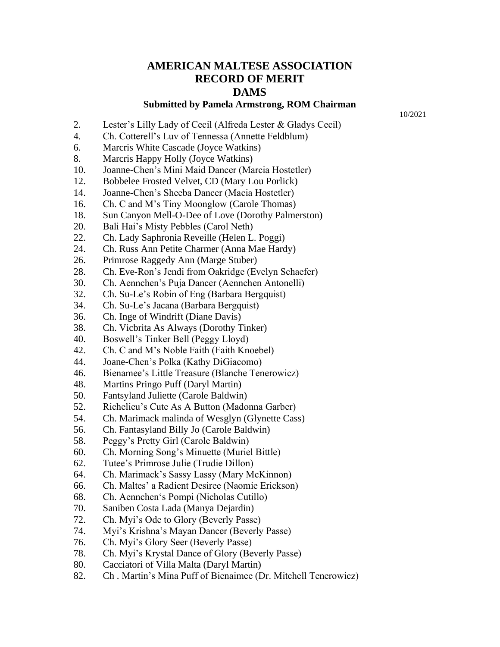## **AMERICAN MALTESE ASSOCIATION RECORD OF MERIT DAMS**

## **Submitted by Pamela Armstrong, ROM Chairman**

10/2021

- 2. Lester's Lilly Lady of Cecil (Alfreda Lester & Gladys Cecil)
- 4. Ch. Cotterell's Luv of Tennessa (Annette Feldblum)
- 6. Marcris White Cascade (Joyce Watkins)
- 8. Marcris Happy Holly (Joyce Watkins)
- 10. Joanne-Chen's Mini Maid Dancer (Marcia Hostetler)
- 12. Bobbelee Frosted Velvet, CD (Mary Lou Porlick)
- 14. Joanne-Chen's Sheeba Dancer (Macia Hostetler)
- 16. Ch. C and M's Tiny Moonglow (Carole Thomas)
- 18. Sun Canyon Mell-O-Dee of Love (Dorothy Palmerston)
- 20. Bali Hai's Misty Pebbles (Carol Neth)
- 22. Ch. Lady Saphronia Reveille (Helen L. Poggi)
- 24. Ch. Russ Ann Petite Charmer (Anna Mae Hardy)
- 26. Primrose Raggedy Ann (Marge Stuber)
- 28. Ch. Eve-Ron's Jendi from Oakridge (Evelyn Schaefer)
- 30. Ch. Aennchen's Puja Dancer (Aennchen Antonelli)
- 32. Ch. Su-Le's Robin of Eng (Barbara Bergquist)
- 34. Ch. Su-Le's Jacana (Barbara Bergquist)
- 36. Ch. Inge of Windrift (Diane Davis)
- 38. Ch. Vicbrita As Always (Dorothy Tinker)
- 40. Boswell's Tinker Bell (Peggy Lloyd)
- 42. Ch. C and M's Noble Faith (Faith Knoebel)
- 44. Joane-Chen's Polka (Kathy DiGiacomo)
- 46. Bienamee's Little Treasure (Blanche Tenerowicz)
- 48. Martins Pringo Puff (Daryl Martin)
- 50. Fantsyland Juliette (Carole Baldwin)
- 52. Richelieu's Cute As A Button (Madonna Garber)
- 54. Ch. Marimack malinda of Wesglyn (Glynette Cass)
- 56. Ch. Fantasyland Billy Jo (Carole Baldwin)
- 58. Peggy's Pretty Girl (Carole Baldwin)
- 60. Ch. Morning Song's Minuette (Muriel Bittle)
- 62. Tutee's Primrose Julie (Trudie Dillon)
- 64. Ch. Marimack's Sassy Lassy (Mary McKinnon)
- 66. Ch. Maltes' a Radient Desiree (Naomie Erickson)
- 68. Ch. Aennchen's Pompi (Nicholas Cutillo)
- 70. Saniben Costa Lada (Manya Dejardin)
- 72. Ch. Myi's Ode to Glory (Beverly Passe)
- 74. Myi's Krishna's Mayan Dancer (Beverly Passe)
- 76. Ch. Myi's Glory Seer (Beverly Passe)
- 78. Ch. Myi's Krystal Dance of Glory (Beverly Passe)
- 80. Cacciatori of Villa Malta (Daryl Martin)
- 82. Ch . Martin's Mina Puff of Bienaimee (Dr. Mitchell Tenerowicz)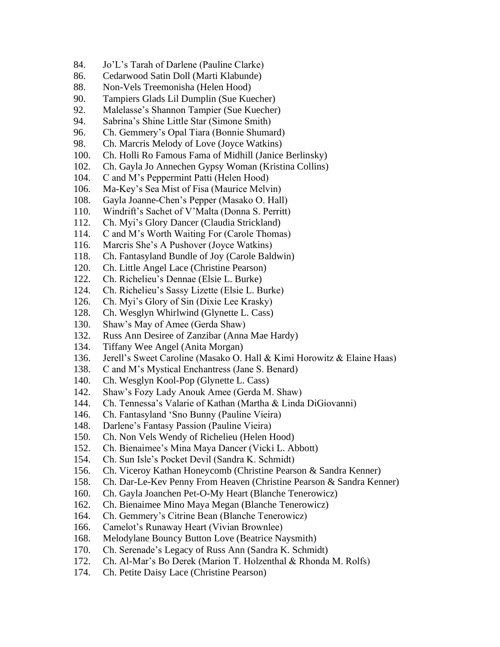- 84. Jo'L's Tarah of Darlene (Pauline Clarke)
- 86. Cedarwood Satin Doll (Marti Klabunde)
- 88. Non-Vels Treemonisha (Helen Hood)
- 90. Tampiers Glads Lil Dumplin (Sue Kuecher)
- 92. Malelasse's Shannon Tampier (Sue Kuecher)
- 94. Sabrina's Shine Little Star (Simone Smith)
- 96. Ch. Gemmery's Opal Tiara (Bonnie Shumard)
- 98. Ch. Marcris Melody of Love (Joyce Watkins)
- 100. Ch. Holli Ro Famous Fama of Midhill (Janice Berlinsky)
- 102. Ch. Gayla Jo Annechen Gypsy Woman (Kristina Collins)
- 104. C and M's Peppermint Patti (Helen Hood)
- 106. Ma-Key's Sea Mist of Fisa (Maurice Melvin)
- 108. Gayla Joanne-Chen's Pepper (Masako O. Hall)
- 110. Windrift's Sachet of V'Malta (Donna S. Perritt)
- 112. Ch. Myi's Glory Dancer (Claudia Strickland)
- 114. C and M's Worth Waiting For (Carole Thomas)
- 116. Marcris She's A Pushover (Joyce Watkins)
- 118. Ch. Fantasyland Bundle of Joy (Carole Baldwin)
- 120. Ch. Little Angel Lace (Christine Pearson)
- 122. Ch. Richelieu's Dennae (Elsie L. Burke)
- 124. Ch. Richelieu's Sassy Lizette (Elsie L. Burke)
- 126. Ch. Myi's Glory of Sin (Dixie Lee Krasky)
- 128. Ch. Wesglyn Whirlwind (Glynette L. Cass)
- 130. Shaw's May of Amee (Gerda Shaw)
- 132. Russ Ann Desiree of Zanzibar (Anna Mae Hardy)
- 134. Tiffany Wee Angel (Anita Morgan)
- 136. Jerell's Sweet Caroline (Masako O. Hall & Kimi Horowitz & Elaine Haas)
- 138. C and M's Mystical Enchantress (Jane S. Benard)
- 140. Ch. Wesglyn Kool-Pop (Glynette L. Cass)
- 142. Shaw's Fozy Lady Anouk Amee (Gerda M. Shaw)
- 144. Ch. Tennessa's Valarie of Kathan (Martha & Linda DiGiovanni)
- 146. Ch. Fantasyland 'Sno Bunny (Pauline Vieira)
- 148. Darlene's Fantasy Passion (Pauline Vieira)
- 150. Ch. Non Vels Wendy of Richelieu (Helen Hood)
- 152. Ch. Bienaimee's Mina Maya Dancer (Vicki L. Abbott)
- 154. Ch. Sun Isle's Pocket Devil (Sandra K. Schmidt)
- 156. Ch. Viceroy Kathan Honeycomb (Christine Pearson & Sandra Kenner)
- 158. Ch. Dar-Le-Kev Penny From Heaven (Christine Pearson & Sandra Kenner)
- 160. Ch. Gayla Joanchen Pet-O-My Heart (Blanche Tenerowicz)
- 162. Ch. Bienaimee Mino Maya Megan (Blanche Tenerowicz)
- 164. Ch. Gemmery's Citrine Bean (Blanche Tenerowicz)
- 166. Camelot's Runaway Heart (Vivian Brownlee)
- 168. Melodylane Bouncy Button Love (Beatrice Naysmith)
- 170. Ch. Serenade's Legacy of Russ Ann (Sandra K. Schmidt)
- 172. Ch. Al-Mar's Bo Derek (Marion T. Holzenthal & Rhonda M. Rolfs)
- 174. Ch. Petite Daisy Lace (Christine Pearson)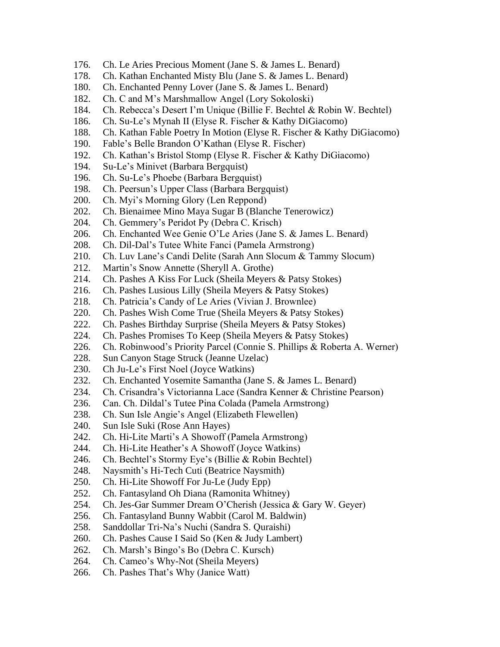- 176. Ch. Le Aries Precious Moment (Jane S. & James L. Benard)
- 178. Ch. Kathan Enchanted Misty Blu (Jane S. & James L. Benard)
- 180. Ch. Enchanted Penny Lover (Jane S. & James L. Benard)
- 182. Ch. C and M's Marshmallow Angel (Lory Sokoloski)
- 184. Ch. Rebecca's Desert I'm Unique (Billie F. Bechtel & Robin W. Bechtel)
- 186. Ch. Su-Le's Mynah II (Elyse R. Fischer & Kathy DiGiacomo)
- 188. Ch. Kathan Fable Poetry In Motion (Elyse R. Fischer & Kathy DiGiacomo)
- 190. Fable's Belle Brandon O'Kathan (Elyse R. Fischer)
- 192. Ch. Kathan's Bristol Stomp (Elyse R. Fischer & Kathy DiGiacomo)
- 194. Su-Le's Minivet (Barbara Bergquist)
- 196. Ch. Su-Le's Phoebe (Barbara Bergquist)
- 198. Ch. Peersun's Upper Class (Barbara Bergquist)
- 200. Ch. Myi's Morning Glory (Len Reppond)
- 202. Ch. Bienaimee Mino Maya Sugar B (Blanche Tenerowicz)
- 204. Ch. Gemmery's Peridot Py (Debra C. Krisch)
- 206. Ch. Enchanted Wee Genie O'Le Aries (Jane S. & James L. Benard)
- 208. Ch. Dil-Dal's Tutee White Fanci (Pamela Armstrong)
- 210. Ch. Luv Lane's Candi Delite (Sarah Ann Slocum & Tammy Slocum)
- 212. Martin's Snow Annette (Sheryll A. Grothe)
- 214. Ch. Pashes A Kiss For Luck (Sheila Meyers & Patsy Stokes)
- 216. Ch. Pashes Lusious Lilly (Sheila Meyers & Patsy Stokes)
- 218. Ch. Patricia's Candy of Le Aries (Vivian J. Brownlee)
- 220. Ch. Pashes Wish Come True (Sheila Meyers & Patsy Stokes)
- 222. Ch. Pashes Birthday Surprise (Sheila Meyers & Patsy Stokes)
- 224. Ch. Pashes Promises To Keep (Sheila Meyers & Patsy Stokes)
- 226. Ch. Robinwood's Priority Parcel (Connie S. Phillips & Roberta A. Werner)
- 228. Sun Canyon Stage Struck (Jeanne Uzelac)
- 230. Ch Ju-Le's First Noel (Joyce Watkins)
- 232. Ch. Enchanted Yosemite Samantha (Jane S. & James L. Benard)
- 234. Ch. Crisandra's Victorianna Lace (Sandra Kenner & Christine Pearson)
- 236. Can. Ch. Dildal's Tutee Pina Colada (Pamela Armstrong)
- 238. Ch. Sun Isle Angie's Angel (Elizabeth Flewellen)
- 240. Sun Isle Suki (Rose Ann Hayes)
- 242. Ch. Hi-Lite Marti's A Showoff (Pamela Armstrong)
- 244. Ch. Hi-Lite Heather's A Showoff (Joyce Watkins)
- 246. Ch. Bechtel's Stormy Eye's (Billie & Robin Bechtel)
- 248. Naysmith's Hi-Tech Cuti (Beatrice Naysmith)
- 250. Ch. Hi-Lite Showoff For Ju-Le (Judy Epp)
- 252. Ch. Fantasyland Oh Diana (Ramonita Whitney)
- 254. Ch. Jes-Gar Summer Dream O'Cherish (Jessica & Gary W. Geyer)
- 256. Ch. Fantasyland Bunny Wabbit (Carol M. Baldwin)
- 258. Sanddollar Tri-Na's Nuchi (Sandra S. Quraishi)
- 260. Ch. Pashes Cause I Said So (Ken & Judy Lambert)
- 262. Ch. Marsh's Bingo's Bo (Debra C. Kursch)
- 264. Ch. Cameo's Why-Not (Sheila Meyers)
- 266. Ch. Pashes That's Why (Janice Watt)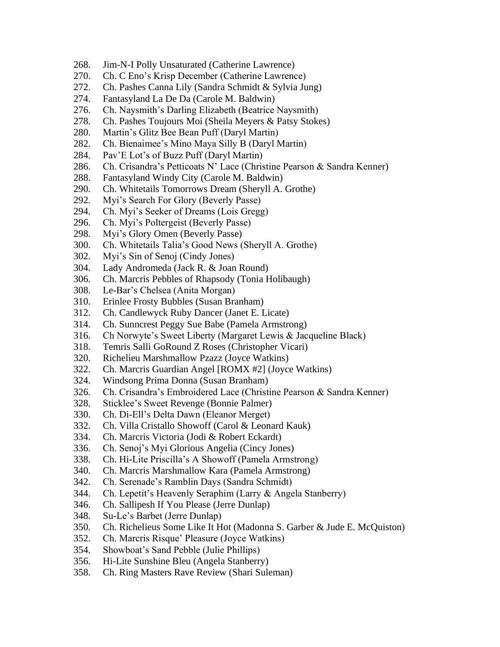- 268. Jim-N-I Polly Unsaturated (Catherine Lawrence)
- 270. Ch. C Eno's Krisp December (Catherine Lawrence)
- 272. Ch. Pashes Canna Lily (Sandra Schmidt & Sylvia Jung)
- 274. Fantasyland La De Da (Carole M. Baldwin)
- 276. Ch. Naysmith's Darling Elizabeth (Beatrice Naysmith)
- 278. Ch. Pashes Toujours Moi (Sheila Meyers & Patsy Stokes)
- 280. Martin's Glitz Bee Bean Puff (Daryl Martin)
- 282. Ch. Bienaimee's Mino Maya Silly B (Daryl Martin)
- 284. Pav'E Lot's of Buzz Puff (Daryl Martin)
- 286. Ch. Crisandra's Petticoats N' Lace (Christine Pearson & Sandra Kenner)
- 288. Fantasyland Windy City (Carole M. Baldwin)
- 290. Ch. Whitetails Tomorrows Dream (Sheryll A. Grothe)
- 292. Myi's Search For Glory (Beverly Passe)
- 294. Ch. Myi's Seeker of Dreams (Lois Gregg)
- 296. Ch. Myi's Poltergeist (Beverly Passe)
- 298. Myi's Glory Omen (Beverly Passe)
- 300. Ch. Whitetails Talia's Good News (Sheryll A. Grothe)
- 302. Myi's Sin of Senoj (Cindy Jones)
- 304. Lady Andromeda (Jack R. & Joan Round)
- 306. Ch. Marcris Pebbles of Rhapsody (Tonia Holibaugh)
- 308. Le-Bar's Chelsea (Anita Morgan)
- 310. Erinlee Frosty Bubbles (Susan Branham)
- 312. Ch. Candlewyck Ruby Dancer (Janet E. Licate)
- 314. Ch. Sunncrest Peggy Sue Babe (Pamela Armstrong)
- 316. Ch Norwyte's Sweet Liberty (Margaret Lewis & Jacqueline Black)
- 318. Temris Salli GoRound Z Roses (Christopher Vicari)
- 320. Richelieu Marshmallow Pzazz (Joyce Watkins)
- 322. Ch. Marcris Guardian Angel [ROMX #2] (Joyce Watkins)
- 324. Windsong Prima Donna (Susan Branham)
- 326. Ch. Crisandra's Embroidered Lace (Christine Pearson & Sandra Kenner)
- 328. Sticklee's Sweet Revenge (Bonnie Palmer)
- 330. Ch. Di-Ell's Delta Dawn (Eleanor Merget)
- 332. Ch. Villa Cristallo Showoff (Carol & Leonard Kauk)
- 334. Ch. Marcris Victoria (Jodi & Robert Eckardt)
- 336. Ch. Senoj's Myi Glorious Angelia (Cincy Jones)
- 338. Ch. Hi-Lite Priscilla's A Showoff (Pamela Armstrong)
- 340. Ch. Marcris Marshmallow Kara (Pamela Armstrong)
- 342. Ch. Serenade's Ramblin Days (Sandra Schmidt)
- 344. Ch. Lepetit's Heavenly Seraphim (Larry & Angela Stanberry)
- 346. Ch. Sallipesh If You Please (Jerre Dunlap)
- 348. Su-Le's Barbet (Jerre Dunlap)
- 350. Ch. Richelieus Some Like It Hot (Madonna S. Garber & Jude E. McQuiston)
- 352. Ch. Marcris Risque' Pleasure (Joyce Watkins)
- 354. Showboat's Sand Pebble (Julie Phillips)
- 356. Hi-Lite Sunshine Bleu (Angela Stanberry)
- 358. Ch. Ring Masters Rave Review (Shari Suleman)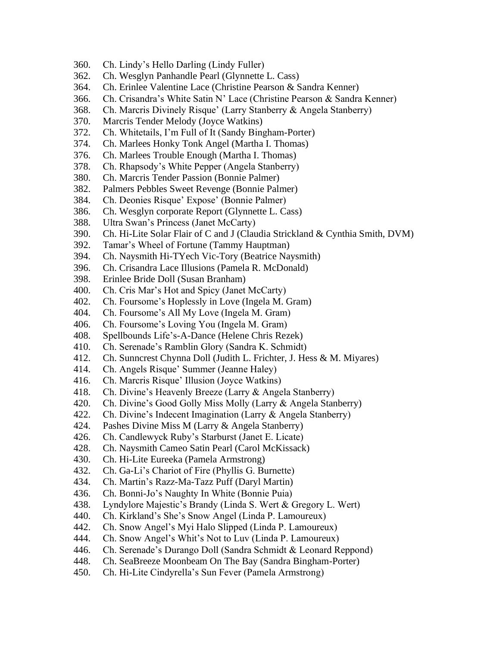- 360. Ch. Lindy's Hello Darling (Lindy Fuller)
- 362. Ch. Wesglyn Panhandle Pearl (Glynnette L. Cass)
- 364. Ch. Erinlee Valentine Lace (Christine Pearson & Sandra Kenner)
- 366. Ch. Crisandra's White Satin N' Lace (Christine Pearson & Sandra Kenner)
- 368. Ch. Marcris Divinely Risque' (Larry Stanberry & Angela Stanberry)
- 370. Marcris Tender Melody (Joyce Watkins)
- 372. Ch. Whitetails, I'm Full of It (Sandy Bingham-Porter)
- 374. Ch. Marlees Honky Tonk Angel (Martha I. Thomas)
- 376. Ch. Marlees Trouble Enough (Martha I. Thomas)
- 378. Ch. Rhapsody's White Pepper (Angela Stanberry)
- 380. Ch. Marcris Tender Passion (Bonnie Palmer)
- 382. Palmers Pebbles Sweet Revenge (Bonnie Palmer)
- 384. Ch. Deonies Risque' Expose' (Bonnie Palmer)
- 386. Ch. Wesglyn corporate Report (Glynnette L. Cass)
- 388. Ultra Swan's Princess (Janet McCarty)
- 390. Ch. Hi-Lite Solar Flair of C and J (Claudia Strickland & Cynthia Smith, DVM)
- 392. Tamar's Wheel of Fortune (Tammy Hauptman)
- 394. Ch. Naysmith Hi-TYech Vic-Tory (Beatrice Naysmith)
- 396. Ch. Crisandra Lace Illusions (Pamela R. McDonald)
- 398. Erinlee Bride Doll (Susan Branham)
- 400. Ch. Cris Mar's Hot and Spicy (Janet McCarty)
- 402. Ch. Foursome's Hoplessly in Love (Ingela M. Gram)
- 404. Ch. Foursome's All My Love (Ingela M. Gram)
- 406. Ch. Foursome's Loving You (Ingela M. Gram)
- 408. Spellbounds Life's-A-Dance (Helene Chris Rezek)
- 410. Ch. Serenade's Ramblin Glory (Sandra K. Schmidt)
- 412. Ch. Sunncrest Chynna Doll (Judith L. Frichter, J. Hess & M. Miyares)
- 414. Ch. Angels Risque' Summer (Jeanne Haley)
- 416. Ch. Marcris Risque' Illusion (Joyce Watkins)
- 418. Ch. Divine's Heavenly Breeze (Larry & Angela Stanberry)
- 420. Ch. Divine's Good Golly Miss Molly (Larry & Angela Stanberry)
- 422. Ch. Divine's Indecent Imagination (Larry & Angela Stanberry)
- 424. Pashes Divine Miss M (Larry & Angela Stanberry)
- 426. Ch. Candlewyck Ruby's Starburst (Janet E. Licate)
- 428. Ch. Naysmith Cameo Satin Pearl (Carol McKissack)
- 430. Ch. Hi-Lite Eureeka (Pamela Armstrong)
- 432. Ch. Ga-Li's Chariot of Fire (Phyllis G. Burnette)
- 434. Ch. Martin's Razz-Ma-Tazz Puff (Daryl Martin)
- 436. Ch. Bonni-Jo's Naughty In White (Bonnie Puia)
- 438. Lyndylore Majestic's Brandy (Linda S. Wert & Gregory L. Wert)
- 440. Ch. Kirkland's She's Snow Angel (Linda P. Lamoureux)
- 442. Ch. Snow Angel's Myi Halo Slipped (Linda P. Lamoureux)
- 444. Ch. Snow Angel's Whit's Not to Luv (Linda P. Lamoureux)
- 446. Ch. Serenade's Durango Doll (Sandra Schmidt & Leonard Reppond)
- 448. Ch. SeaBreeze Moonbeam On The Bay (Sandra Bingham-Porter)
- 450. Ch. Hi-Lite Cindyrella's Sun Fever (Pamela Armstrong)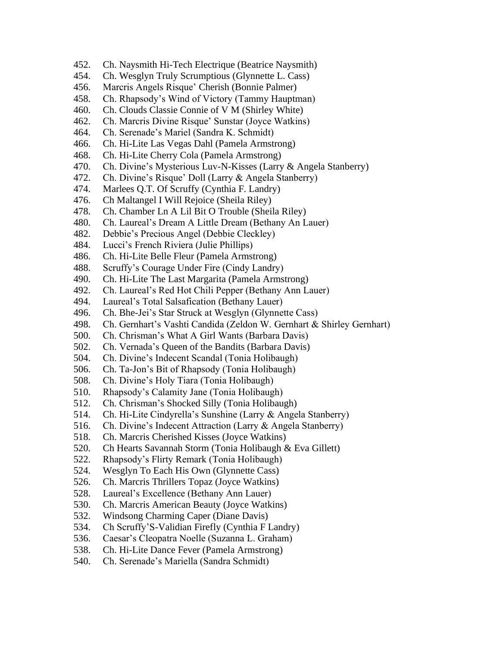- 452. Ch. Naysmith Hi-Tech Electrique (Beatrice Naysmith)
- 454. Ch. Wesglyn Truly Scrumptious (Glynnette L. Cass)
- 456. Marcris Angels Risque' Cherish (Bonnie Palmer)
- 458. Ch. Rhapsody's Wind of Victory (Tammy Hauptman)
- 460. Ch. Clouds Classie Connie of V M (Shirley White)
- 462. Ch. Marcris Divine Risque' Sunstar (Joyce Watkins)
- 464. Ch. Serenade's Mariel (Sandra K. Schmidt)
- 466. Ch. Hi-Lite Las Vegas Dahl (Pamela Armstrong)
- 468. Ch. Hi-Lite Cherry Cola (Pamela Armstrong)
- 470. Ch. Divine's Mysterious Luv-N-Kisses (Larry & Angela Stanberry)
- 472. Ch. Divine's Risque' Doll (Larry & Angela Stanberry)
- 474. Marlees Q.T. Of Scruffy (Cynthia F. Landry)
- 476. Ch Maltangel I Will Rejoice (Sheila Riley)
- 478. Ch. Chamber Ln A Lil Bit O Trouble (Sheila Riley)
- 480. Ch. Laureal's Dream A Little Dream (Bethany An Lauer)
- 482. Debbie's Precious Angel (Debbie Cleckley)
- 484. Lucci's French Riviera (Julie Phillips)
- 486. Ch. Hi-Lite Belle Fleur (Pamela Armstrong)
- 488. Scruffy's Courage Under Fire (Cindy Landry)
- 490. Ch. Hi-Lite The Last Margarita (Pamela Armstrong)
- 492. Ch. Laureal's Red Hot Chili Pepper (Bethany Ann Lauer)
- 494. Laureal's Total Salsafication (Bethany Lauer)
- 496. Ch. Bhe-Jei's Star Struck at Wesglyn (Glynnette Cass)
- 498. Ch. Gernhart's Vashti Candida (Zeldon W. Gernhart & Shirley Gernhart)
- 500. Ch. Chrisman's What A Girl Wants (Barbara Davis)
- 502. Ch. Vernada's Queen of the Bandits (Barbara Davis)
- 504. Ch. Divine's Indecent Scandal (Tonia Holibaugh)
- 506. Ch. Ta-Jon's Bit of Rhapsody (Tonia Holibaugh)
- 508. Ch. Divine's Holy Tiara (Tonia Holibaugh)
- 510. Rhapsody's Calamity Jane (Tonia Holibaugh)
- 512. Ch. Chrisman's Shocked Silly (Tonia Holibaugh)
- 514. Ch. Hi-Lite Cindyrella's Sunshine (Larry & Angela Stanberry)
- 516. Ch. Divine's Indecent Attraction (Larry & Angela Stanberry)
- 518. Ch. Marcris Cherished Kisses (Joyce Watkins)
- 520. Ch Hearts Savannah Storm (Tonia Holibaugh & Eva Gillett)
- 522. Rhapsody's Flirty Remark (Tonia Holibaugh)
- 524. Wesglyn To Each His Own (Glynnette Cass)
- 526. Ch. Marcris Thrillers Topaz (Joyce Watkins)
- 528. Laureal's Excellence (Bethany Ann Lauer)
- 530. Ch. Marcris American Beauty (Joyce Watkins)
- 532. Windsong Charming Caper (Diane Davis)
- 534. Ch Scruffy'S-Validian Firefly (Cynthia F Landry)
- 536. Caesar's Cleopatra Noelle (Suzanna L. Graham)
- 538. Ch. Hi-Lite Dance Fever (Pamela Armstrong)
- 540. Ch. Serenade's Mariella (Sandra Schmidt)